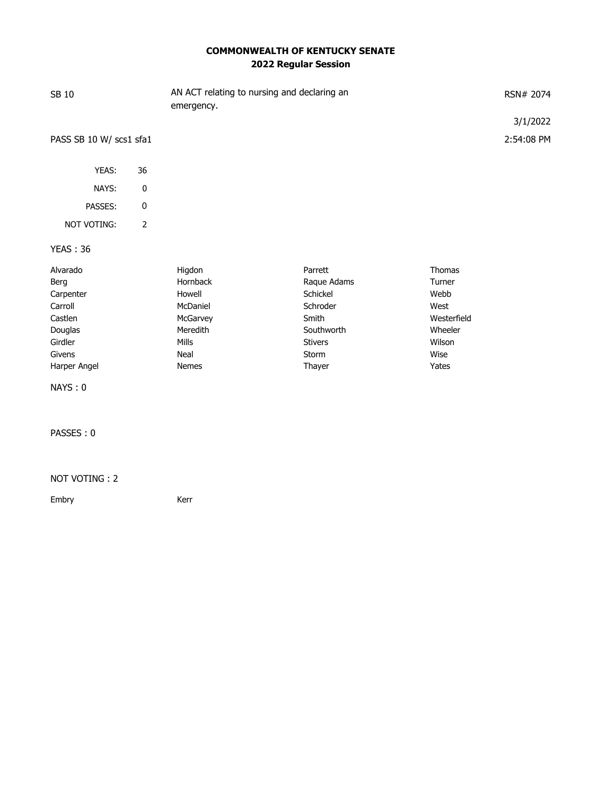## **COMMONWEALTH OF KENTUCKY SENATE 2022 Regular Session**

| SB 10                   |                | AN ACT relating to nursing and declaring an<br>emergency. |                |             | RSN# 2074  |
|-------------------------|----------------|-----------------------------------------------------------|----------------|-------------|------------|
|                         |                |                                                           |                |             | 3/1/2022   |
| PASS SB 10 W/ scs1 sfa1 |                |                                                           |                |             | 2:54:08 PM |
| YEAS:                   | 36             |                                                           |                |             |            |
| NAYS:                   | $\pmb{0}$      |                                                           |                |             |            |
| PASSES:                 | $\pmb{0}$      |                                                           |                |             |            |
| <b>NOT VOTING:</b>      | $\overline{2}$ |                                                           |                |             |            |
| <b>YEAS: 36</b>         |                |                                                           |                |             |            |
| Alvarado                |                | Higdon                                                    | Parrett        | Thomas      |            |
| Berg                    |                | Hornback                                                  | Raque Adams    | Turner      |            |
| Carpenter               |                | Howell                                                    | Schickel       | Webb        |            |
| Carroll                 |                | McDaniel                                                  | Schroder       | West        |            |
| Castlen                 |                | McGarvey                                                  | Smith          | Westerfield |            |
| Douglas                 |                | Meredith                                                  | Southworth     | Wheeler     |            |
| Girdler                 |                | <b>Mills</b>                                              | <b>Stivers</b> | Wilson      |            |
| Givens                  |                | Neal                                                      | Storm          | Wise        |            |
| Harper Angel            |                | Nemes                                                     | Thayer         | Yates       |            |
| NAYS: 0                 |                |                                                           |                |             |            |

PASSES : 0

## NOT VOTING : 2

Embry Kerr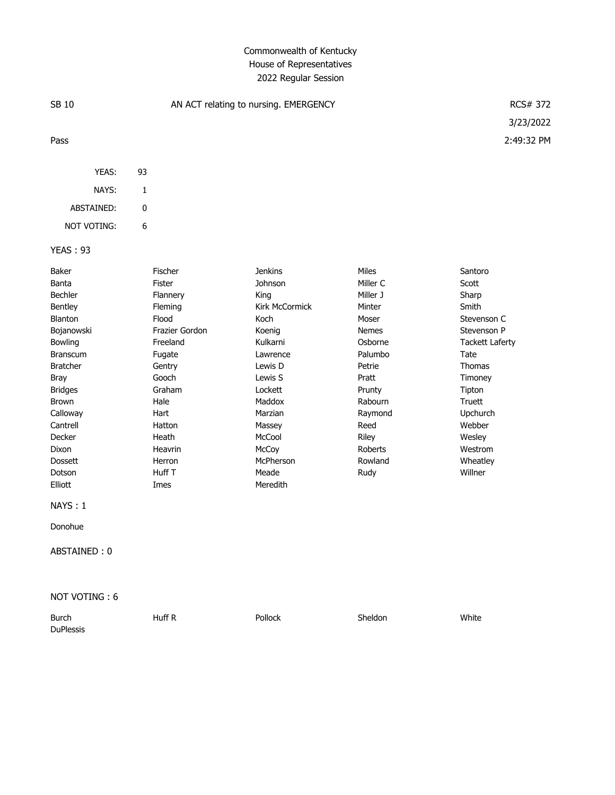## Commonwealth of Kentucky House of Representatives 2022 Regular Session

| SB 10           | AN ACT relating to nursing. EMERGENCY | <b>RCS# 372</b> |              |                        |
|-----------------|---------------------------------------|-----------------|--------------|------------------------|
|                 |                                       |                 |              | 3/23/2022              |
| Pass            |                                       |                 |              | 2:49:32 PM             |
| YEAS:           | 93                                    |                 |              |                        |
| NAYS:           | 1                                     |                 |              |                        |
| ABSTAINED:      | 0                                     |                 |              |                        |
| NOT VOTING:     | 6                                     |                 |              |                        |
| <b>YEAS: 93</b> |                                       |                 |              |                        |
| Baker           | Fischer                               | <b>Jenkins</b>  | Miles        | Santoro                |
| Banta           | Fister                                | Johnson         | Miller C     | Scott                  |
| Bechler         | Flannery                              | King            | Miller J     | Sharp                  |
| Bentley         | Fleming                               | Kirk McCormick  | Minter       | Smith                  |
| Blanton         | Flood                                 | Koch            | Moser        | Stevenson C            |
| Bojanowski      | Frazier Gordon                        | Koenig          | <b>Nemes</b> | Stevenson P            |
| Bowling         | Freeland                              | Kulkarni        | Osborne      | <b>Tackett Laferty</b> |
| <b>Branscum</b> | Fugate                                | Lawrence        | Palumbo      | Tate                   |
| <b>Bratcher</b> | Gentry                                | Lewis D         | Petrie       | Thomas                 |
| Bray            | Gooch                                 | Lewis S         | Pratt        | Timoney                |

| NAYS:1 |  |
|--------|--|
|        |  |

Donohue

ABSTAINED : 0

Elliott Imes Meredith

NOT VOTING : 6

| <b>Burch</b>     | Huff R | Pollock | Sheldon | White |
|------------------|--------|---------|---------|-------|
| <b>DuPlessis</b> |        |         |         |       |

Bridges Graham Lockett Prunty Tipton Brown Hale Maddox Rabourn Truett Calloway Hart Marzian Raymond Upchurch Cantrell Hatton Massey Reed Webber Decker Heath McCool Riley Wesley Dixon Heavrin McCoy Roberts Westrom Dossett Herron McPherson Rowland Wheatley Dotson Huff T Meade Rudy Willner